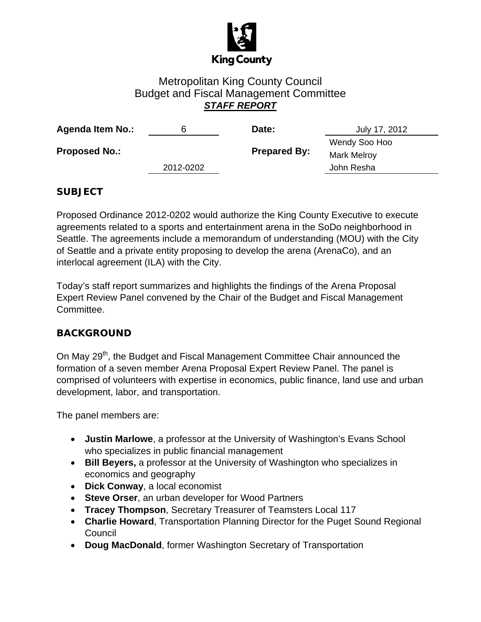

# Metropolitan King County Council Budget and Fiscal Management Committee *STAFF REPORT*

| <b>Agenda Item No.:</b> | b         | Date:               | July 17, 2012      |
|-------------------------|-----------|---------------------|--------------------|
| <b>Proposed No.:</b>    |           | <b>Prepared By:</b> | Wendy Soo Hoo      |
|                         |           |                     | <b>Mark Melroy</b> |
|                         | 2012-0202 |                     | John Resha         |

### **SUBJECT**

Proposed Ordinance 2012-0202 would authorize the King County Executive to execute agreements related to a sports and entertainment arena in the SoDo neighborhood in Seattle. The agreements include a memorandum of understanding (MOU) with the City of Seattle and a private entity proposing to develop the arena (ArenaCo), and an interlocal agreement (ILA) with the City.

Today's staff report summarizes and highlights the findings of the Arena Proposal Expert Review Panel convened by the Chair of the Budget and Fiscal Management Committee.

### **BACKGROUND**

On May 29<sup>th</sup>, the Budget and Fiscal Management Committee Chair announced the formation of a seven member Arena Proposal Expert Review Panel. The panel is comprised of volunteers with expertise in economics, public finance, land use and urban development, labor, and transportation.

The panel members are:

- **Justin Marlowe**, a professor at the University of Washington's Evans School who specializes in public financial management
- **Bill Beyers,** a professor at the University of Washington who specializes in economics and geography
- **Dick Conway**, a local economist
- **Steve Orser**, an urban developer for Wood Partners
- **Tracey Thompson**, Secretary Treasurer of Teamsters Local 117
- **Charlie Howard**, Transportation Planning Director for the Puget Sound Regional Council
- **Doug MacDonald**, former Washington Secretary of Transportation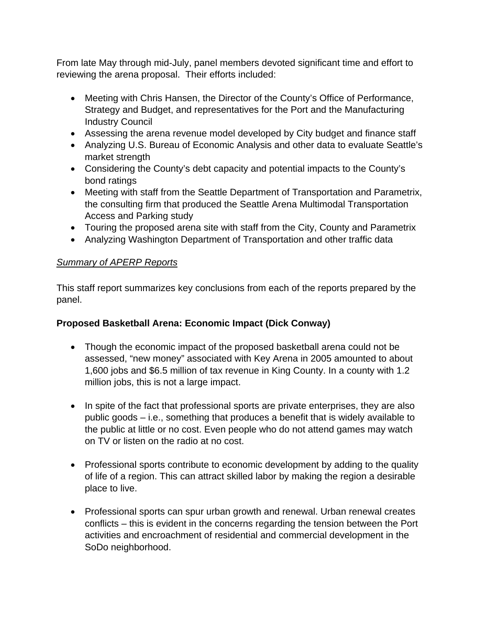From late May through mid-July, panel members devoted significant time and effort to reviewing the arena proposal. Their efforts included:

- Meeting with Chris Hansen, the Director of the County's Office of Performance, Strategy and Budget, and representatives for the Port and the Manufacturing Industry Council
- Assessing the arena revenue model developed by City budget and finance staff
- Analyzing U.S. Bureau of Economic Analysis and other data to evaluate Seattle's market strength
- Considering the County's debt capacity and potential impacts to the County's bond ratings
- Meeting with staff from the Seattle Department of Transportation and Parametrix, the consulting firm that produced the Seattle Arena Multimodal Transportation Access and Parking study
- Touring the proposed arena site with staff from the City, County and Parametrix
- Analyzing Washington Department of Transportation and other traffic data

## *Summary of APERP Reports*

This staff report summarizes key conclusions from each of the reports prepared by the panel.

# **Proposed Basketball Arena: Economic Impact (Dick Conway)**

- Though the economic impact of the proposed basketball arena could not be assessed, "new money" associated with Key Arena in 2005 amounted to about 1,600 jobs and \$6.5 million of tax revenue in King County. In a county with 1.2 million jobs, this is not a large impact.
- In spite of the fact that professional sports are private enterprises, they are also public goods – i.e., something that produces a benefit that is widely available to the public at little or no cost. Even people who do not attend games may watch on TV or listen on the radio at no cost.
- Professional sports contribute to economic development by adding to the quality of life of a region. This can attract skilled labor by making the region a desirable place to live.
- Professional sports can spur urban growth and renewal. Urban renewal creates conflicts – this is evident in the concerns regarding the tension between the Port activities and encroachment of residential and commercial development in the SoDo neighborhood.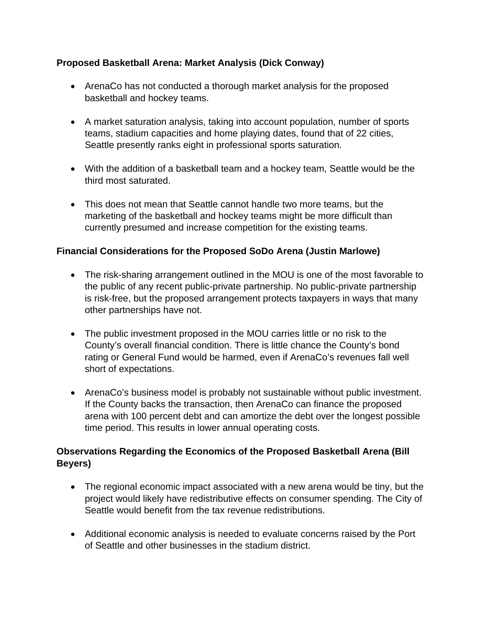### **Proposed Basketball Arena: Market Analysis (Dick Conway)**

- ArenaCo has not conducted a thorough market analysis for the proposed basketball and hockey teams.
- A market saturation analysis, taking into account population, number of sports teams, stadium capacities and home playing dates, found that of 22 cities, Seattle presently ranks eight in professional sports saturation.
- With the addition of a basketball team and a hockey team, Seattle would be the third most saturated.
- This does not mean that Seattle cannot handle two more teams, but the marketing of the basketball and hockey teams might be more difficult than currently presumed and increase competition for the existing teams.

## **Financial Considerations for the Proposed SoDo Arena (Justin Marlowe)**

- The risk-sharing arrangement outlined in the MOU is one of the most favorable to the public of any recent public-private partnership. No public-private partnership is risk-free, but the proposed arrangement protects taxpayers in ways that many other partnerships have not.
- The public investment proposed in the MOU carries little or no risk to the County's overall financial condition. There is little chance the County's bond rating or General Fund would be harmed, even if ArenaCo's revenues fall well short of expectations.
- ArenaCo's business model is probably not sustainable without public investment. If the County backs the transaction, then ArenaCo can finance the proposed arena with 100 percent debt and can amortize the debt over the longest possible time period. This results in lower annual operating costs.

## **Observations Regarding the Economics of the Proposed Basketball Arena (Bill Beyers)**

- The regional economic impact associated with a new arena would be tiny, but the project would likely have redistributive effects on consumer spending. The City of Seattle would benefit from the tax revenue redistributions.
- Additional economic analysis is needed to evaluate concerns raised by the Port of Seattle and other businesses in the stadium district.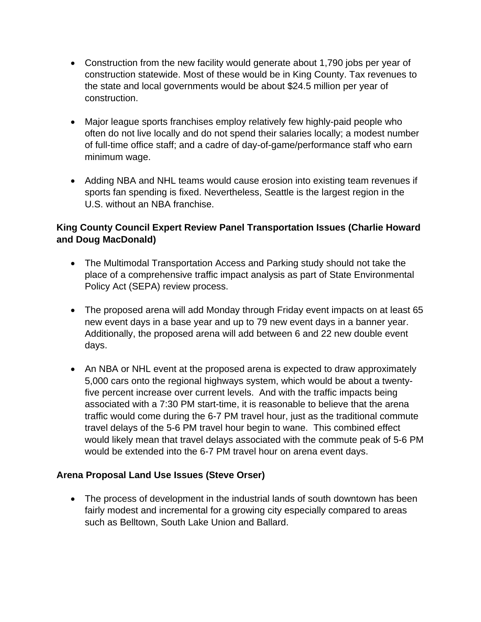- Construction from the new facility would generate about 1,790 jobs per year of construction statewide. Most of these would be in King County. Tax revenues to the state and local governments would be about \$24.5 million per year of construction.
- Major league sports franchises employ relatively few highly-paid people who often do not live locally and do not spend their salaries locally; a modest number of full-time office staff; and a cadre of day-of-game/performance staff who earn minimum wage.
- Adding NBA and NHL teams would cause erosion into existing team revenues if sports fan spending is fixed. Nevertheless, Seattle is the largest region in the U.S. without an NBA franchise.

### **King County Council Expert Review Panel Transportation Issues (Charlie Howard and Doug MacDonald)**

- The Multimodal Transportation Access and Parking study should not take the place of a comprehensive traffic impact analysis as part of State Environmental Policy Act (SEPA) review process.
- The proposed arena will add Monday through Friday event impacts on at least 65 new event days in a base year and up to 79 new event days in a banner year. Additionally, the proposed arena will add between 6 and 22 new double event days.
- An NBA or NHL event at the proposed arena is expected to draw approximately 5,000 cars onto the regional highways system, which would be about a twentyfive percent increase over current levels. And with the traffic impacts being associated with a 7:30 PM start-time, it is reasonable to believe that the arena traffic would come during the 6-7 PM travel hour, just as the traditional commute travel delays of the 5-6 PM travel hour begin to wane. This combined effect would likely mean that travel delays associated with the commute peak of 5-6 PM would be extended into the 6-7 PM travel hour on arena event days.

### **Arena Proposal Land Use Issues (Steve Orser)**

• The process of development in the industrial lands of south downtown has been fairly modest and incremental for a growing city especially compared to areas such as Belltown, South Lake Union and Ballard.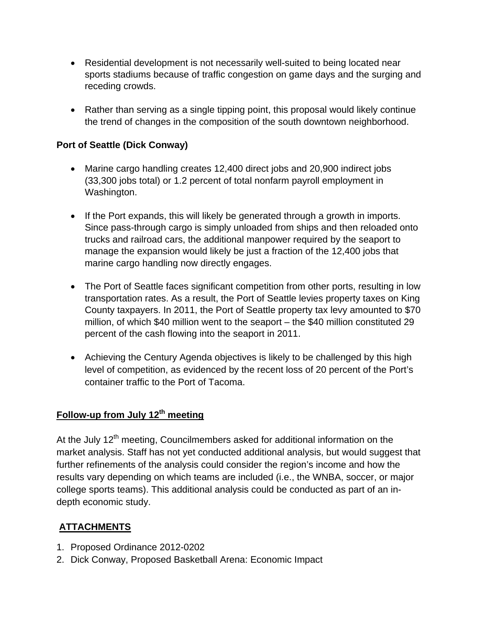- Residential development is not necessarily well-suited to being located near sports stadiums because of traffic congestion on game days and the surging and receding crowds.
- Rather than serving as a single tipping point, this proposal would likely continue the trend of changes in the composition of the south downtown neighborhood.

### **Port of Seattle (Dick Conway)**

- Marine cargo handling creates 12,400 direct jobs and 20,900 indirect jobs (33,300 jobs total) or 1.2 percent of total nonfarm payroll employment in Washington.
- If the Port expands, this will likely be generated through a growth in imports. Since pass-through cargo is simply unloaded from ships and then reloaded onto trucks and railroad cars, the additional manpower required by the seaport to manage the expansion would likely be just a fraction of the 12,400 jobs that marine cargo handling now directly engages.
- The Port of Seattle faces significant competition from other ports, resulting in low transportation rates. As a result, the Port of Seattle levies property taxes on King County taxpayers. In 2011, the Port of Seattle property tax levy amounted to \$70 million, of which \$40 million went to the seaport – the \$40 million constituted 29 percent of the cash flowing into the seaport in 2011.
- Achieving the Century Agenda objectives is likely to be challenged by this high level of competition, as evidenced by the recent loss of 20 percent of the Port's container traffic to the Port of Tacoma.

# Follow-up from July 12<sup>th</sup> meeting

At the July 12<sup>th</sup> meeting, Councilmembers asked for additional information on the market analysis. Staff has not yet conducted additional analysis, but would suggest that further refinements of the analysis could consider the region's income and how the results vary depending on which teams are included (i.e., the WNBA, soccer, or major college sports teams). This additional analysis could be conducted as part of an indepth economic study.

### **ATTACHMENTS**

- 1. Proposed Ordinance 2012-0202
- 2. Dick Conway, Proposed Basketball Arena: Economic Impact